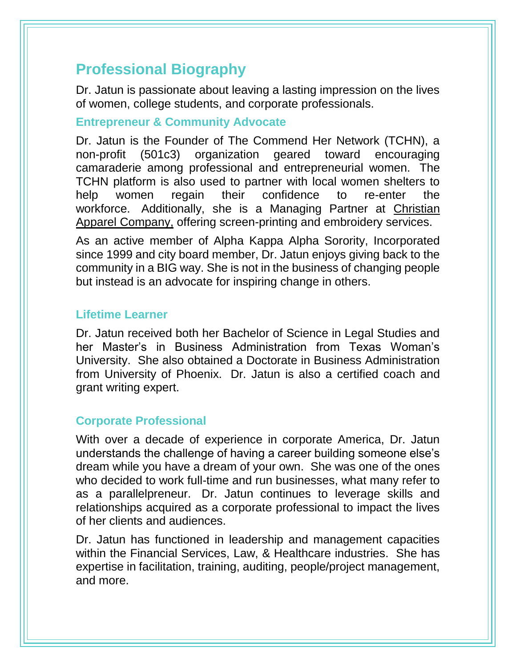# **Professional Biography**

Dr. Jatun is passionate about leaving a lasting impression on the lives of women, college students, and corporate professionals.

#### **Entrepreneur & Community Advocate**

Dr. Jatun is the Founder of The Commend Her Network (TCHN), a non-profit (501c3) organization geared toward encouraging camaraderie among professional and entrepreneurial women. The TCHN platform is also used to partner with local women shelters to help women regain their confidence to re-enter the workforce. Additionally, she is a Managing Partner at [Christian](http://www.christianapparelco.com/)  [Apparel Company,](http://www.christianapparelco.com/) offering screen-printing and embroidery services.

As an active member of Alpha Kappa Alpha Sorority, Incorporated since 1999 and city board member, Dr. Jatun enjoys giving back to the community in a BIG way. She is not in the business of changing people but instead is an advocate for inspiring change in others.

#### **Lifetime Learner**

Dr. Jatun received both her Bachelor of Science in Legal Studies and her Master's in Business Administration from Texas Woman's University. She also obtained a Doctorate in Business Administration from University of Phoenix. Dr. Jatun is also a certified coach and grant writing expert.

## **Corporate Professional**

With over a decade of experience in corporate America, Dr. Jatun understands the challenge of having a career building someone else's dream while you have a dream of your own. She was one of the ones who decided to work full-time and run businesses, what many refer to as a parallelpreneur. Dr. Jatun continues to leverage skills and relationships acquired as a corporate professional to impact the lives of her clients and audiences.

Dr. Jatun has functioned in leadership and management capacities within the Financial Services, Law, & Healthcare industries. She has expertise in facilitation, training, auditing, people/project management, and more.